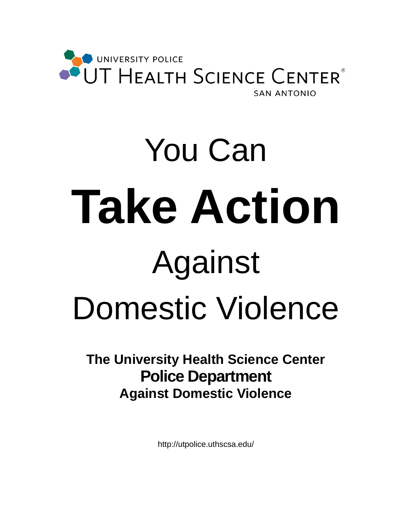

# You Can **Take Action** Against Domestic Violence

**The University Health Science Center Police Department Against Domestic Violence**

http://utpolice.uthscsa.edu/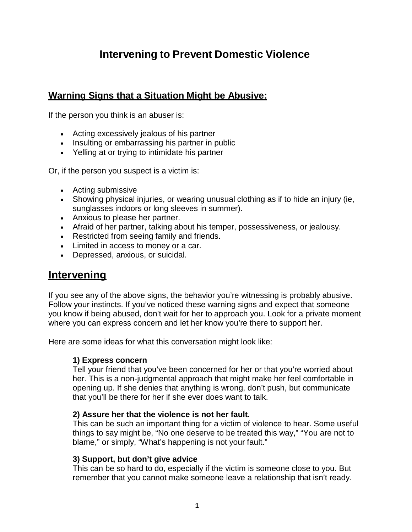## **Intervening to Prevent Domestic Violence**

## **Warning Signs that a Situation Might be Abusive:**

If the person you think is an abuser is:

- Acting excessively jealous of his partner
- Insulting or embarrassing his partner in public
- Yelling at or trying to intimidate his partner

Or, if the person you suspect is a victim is:

- Acting submissive
- Showing physical injuries, or wearing unusual clothing as if to hide an injury (ie, sunglasses indoors or long sleeves in summer).
- Anxious to please her partner.
- Afraid of her partner, talking about his temper, possessiveness, or jealousy.
- Restricted from seeing family and friends.
- Limited in access to money or a car.
- Depressed, anxious, or suicidal.

## **Intervening**

If you see any of the above signs, the behavior you're witnessing is probably abusive. Follow your instincts. If you've noticed these warning signs and expect that someone you know if being abused, don't wait for her to approach you. Look for a private moment where you can express concern and let her know you're there to support her.

Here are some ideas for what this conversation might look like:

#### **1) Express concern**

Tell your friend that you've been concerned for her or that you're worried about her. This is a non-judgmental approach that might make her feel comfortable in opening up. If she denies that anything is wrong, don't push, but communicate that you'll be there for her if she ever does want to talk.

#### **2) Assure her that the violence is not her fault.**

This can be such an important thing for a victim of violence to hear. Some useful things to say might be, "No one deserve to be treated this way," "You are not to blame," or simply, "What's happening is not your fault."

#### **3) Support, but don't give advice**

This can be so hard to do, especially if the victim is someone close to you. But remember that you cannot make someone leave a relationship that isn't ready.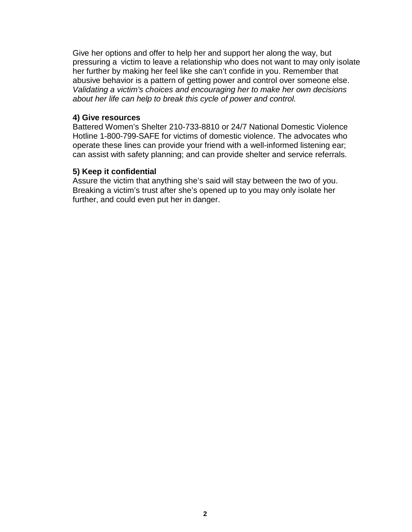Give her options and offer to help her and support her along the way, but pressuring a victim to leave a relationship who does not want to may only isolate her further by making her feel like she can't confide in you. Remember that abusive behavior is a pattern of getting power and control over someone else. *Validating a victim's choices and encouraging her to make her own decisions about her life can help to break this cycle of power and control.*

#### **4) Give resources**

Battered Women's Shelter 210-733-8810 or 24/7 National Domestic Violence Hotline 1-800-799-SAFE for victims of domestic violence. The advocates who operate these lines can provide your friend with a well-informed listening ear; can assist with safety planning; and can provide shelter and service referrals.

#### **5) Keep it confidential**

Assure the victim that anything she's said will stay between the two of you. Breaking a victim's trust after she's opened up to you may only isolate her further, and could even put her in danger.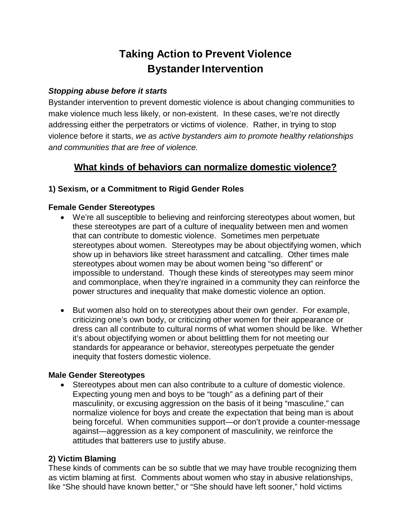## **Taking Action to Prevent Violence Bystander Intervention**

#### *Stopping abuse before it starts*

Bystander intervention to prevent domestic violence is about changing communities to make violence much less likely, or non-existent. In these cases, we're not directly addressing either the perpetrators or victims of violence. Rather, in trying to stop violence before it starts, *we as active bystanders aim to promote healthy relationships and communities that are free of violence.*

### **What kinds of behaviors can normalize domestic violence?**

#### **1) Sexism, or a Commitment to Rigid Gender Roles**

#### **Female Gender Stereotypes**

- We're all susceptible to believing and reinforcing stereotypes about women, but these stereotypes are part of a culture of inequality between men and women that can contribute to domestic violence. Sometimes men perpetuate stereotypes about women. Stereotypes may be about objectifying women, which show up in behaviors like street harassment and catcalling. Other times male stereotypes about women may be about women being "so different" or impossible to understand. Though these kinds of stereotypes may seem minor and commonplace, when they're ingrained in a community they can reinforce the power structures and inequality that make domestic violence an option.
- But women also hold on to stereotypes about their own gender. For example, criticizing one's own body, or criticizing other women for their appearance or dress can all contribute to cultural norms of what women should be like. Whether it's about objectifying women or about belittling them for not meeting our standards for appearance or behavior, stereotypes perpetuate the gender inequity that fosters domestic violence.

#### **Male Gender Stereotypes**

• Stereotypes about men can also contribute to a culture of domestic violence. Expecting young men and boys to be "tough" as a defining part of their masculinity, or excusing aggression on the basis of it being "masculine," can normalize violence for boys and create the expectation that being man is about being forceful. When communities support—or don't provide a counter-message against—aggression as a key component of masculinity, we reinforce the attitudes that batterers use to justify abuse.

#### **2) Victim Blaming**

These kinds of comments can be so subtle that we may have trouble recognizing them as victim blaming at first. Comments about women who stay in abusive relationships, like "She should have known better," or "She should have left sooner," hold victims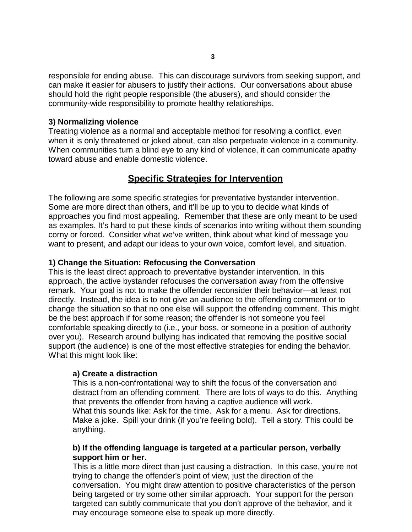responsible for ending abuse. This can discourage survivors from seeking support, and can make it easier for abusers to justify their actions. Our conversations about abuse should hold the right people responsible (the abusers), and should consider the community-wide responsibility to promote healthy relationships.

#### **3) Normalizing violence**

Treating violence as a normal and acceptable method for resolving a conflict, even when it is only threatened or joked about, can also perpetuate violence in a community. When communities turn a blind eye to any kind of violence, it can communicate apathy toward abuse and enable domestic violence.

#### **Specific Strategies for Intervention**

The following are some specific strategies for preventative bystander intervention. Some are more direct than others, and it'll be up to you to decide what kinds of approaches you find most appealing. Remember that these are only meant to be used as examples. It's hard to put these kinds of scenarios into writing without them sounding corny or forced. Consider what we've written, think about what kind of message you want to present, and adapt our ideas to your own voice, comfort level, and situation.

#### **1) Change the Situation: Refocusing the Conversation**

This is the least direct approach to preventative bystander intervention. In this approach, the active bystander refocuses the conversation away from the offensive remark. Your goal is not to make the offender reconsider their behavior—at least not directly. Instead, the idea is to not give an audience to the offending comment or to change the situation so that no one else will support the offending comment. This might be the best approach if for some reason; the offender is not someone you feel comfortable speaking directly to (i.e., your boss, or someone in a position of authority over you). Research around bullying has indicated that removing the positive social support (the audience) is one of the most effective strategies for ending the behavior. What this might look like:

#### **a) Create a distraction**

This is a non-confrontational way to shift the focus of the conversation and distract from an offending comment. There are lots of ways to do this. Anything that prevents the offender from having a captive audience will work. What this sounds like: Ask for the time. Ask for a menu. Ask for directions. Make a joke. Spill your drink (if you're feeling bold). Tell a story. This could be anything.

#### **b) If the offending language is targeted at a particular person, verbally support him or her.**

This is a little more direct than just causing a distraction. In this case, you're not trying to change the offender's point of view, just the direction of the conversation. You might draw attention to positive characteristics of the person being targeted or try some other similar approach. Your support for the person targeted can subtly communicate that you don't approve of the behavior, and it may encourage someone else to speak up more directly.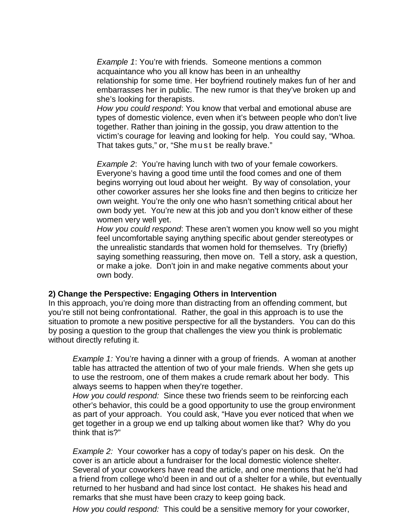*Example 1*: You're with friends. Someone mentions a common acquaintance who you all know has been in an unhealthy relationship for some time. Her boyfriend routinely makes fun of her and embarrasses her in public. The new rumor is that they've broken up and she's looking for therapists.

*How you could respond*: You know that verbal and emotional abuse are types of domestic violence, even when it's between people who don't live together. Rather than joining in the gossip, you draw attention to the victim's courage for leaving and looking for help. You could say, "Whoa. That takes guts," or, "She must be really brave."

*Example 2*: You're having lunch with two of your female coworkers. Everyone's having a good time until the food comes and one of them begins worrying out loud about her weight. By way of consolation, your other coworker assures her she looks fine and then begins to criticize her own weight. You're the only one who hasn't something critical about her own body yet. You're new at this job and you don't know either of these women very well yet.

*How you could respond*: These aren't women you know well so you might feel uncomfortable saying anything specific about gender stereotypes or the unrealistic standards that women hold for themselves. Try (briefly) saying something reassuring, then move on. Tell a story, ask a question, or make a joke. Don't join in and make negative comments about your own body.

#### **2) Change the Perspective: Engaging Others in Intervention**

In this approach, you're doing more than distracting from an offending comment, but you're still not being confrontational. Rather, the goal in this approach is to use the situation to promote a new positive perspective for all the bystanders. You can do this by posing a question to the group that challenges the view you think is problematic without directly refuting it.

*Example 1:* You're having a dinner with a group of friends. A woman at another table has attracted the attention of two of your male friends. When she gets up to use the restroom, one of them makes a crude remark about her body. This always seems to happen when they're together.

*How you could respond:* Since these two friends seem to be reinforcing each other's behavior, this could be a good opportunity to use the group environment as part of your approach. You could ask, "Have you ever noticed that when we get together in a group we end up talking about women like that? Why do you think that is?"

*Example 2:* Your coworker has a copy of today's paper on his desk. On the cover is an article about a fundraiser for the local domestic violence shelter. Several of your coworkers have read the article, and one mentions that he'd had a friend from college who'd been in and out of a shelter for a while, but eventually returned to her husband and had since lost contact. He shakes his head and remarks that she must have been crazy to keep going back.

*How you could respond:* This could be a sensitive memory for your coworker,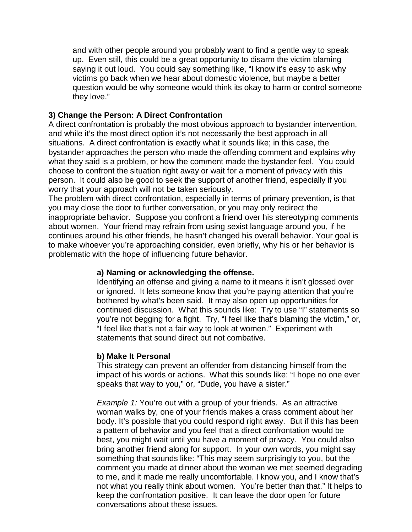and with other people around you probably want to find a gentle way to speak up. Even still, this could be a great opportunity to disarm the victim blaming saying it out loud. You could say something like, "I know it's easy to ask why victims go back when we hear about domestic violence, but maybe a better question would be why someone would think its okay to harm or control someone they love."

#### **3) Change the Person: A Direct Confrontation**

A direct confrontation is probably the most obvious approach to bystander intervention, and while it's the most direct option it's not necessarily the best approach in all situations. A direct confrontation is exactly what it sounds like; in this case, the bystander approaches the person who made the offending comment and explains why what they said is a problem, or how the comment made the bystander feel. You could choose to confront the situation right away or wait for a moment of privacy with this person. It could also be good to seek the support of another friend, especially if you worry that your approach will not be taken seriously.

The problem with direct confrontation, especially in terms of primary prevention, is that you may close the door to further conversation, or you may only redirect the inappropriate behavior. Suppose you confront a friend over his stereotyping comments about women. Your friend may refrain from using sexist language around you, if he continues around his other friends, he hasn't changed his overall behavior. Your goal is to make whoever you're approaching consider, even briefly, why his or her behavior is problematic with the hope of influencing future behavior.

#### **a) Naming or acknowledging the offense.**

Identifying an offense and giving a name to it means it isn't glossed over or ignored. It lets someone know that you're paying attention that you're bothered by what's been said. It may also open up opportunities for continued discussion. What this sounds like: Try to use "I" statements so you're not begging for a fight. Try, "I feel like that's blaming the victim," or, "I feel like that's not a fair way to look at women." Experiment with statements that sound direct but not combative.

#### **b) Make It Personal**

This strategy can prevent an offender from distancing himself from the impact of his words or actions. What this sounds like: "I hope no one ever speaks that way to you," or, "Dude, you have a sister."

*Example 1:* You're out with a group of your friends. As an attractive woman walks by, one of your friends makes a crass comment about her body. It's possible that you could respond right away. But if this has been a pattern of behavior and you feel that a direct confrontation would be best, you might wait until you have a moment of privacy. You could also bring another friend along for support. In your own words, you might say something that sounds like: "This may seem surprisingly to you, but the comment you made at dinner about the woman we met seemed degrading to me, and it made me really uncomfortable. I know you, and I know that's not what you really think about women. You're better than that." It helps to keep the confrontation positive. It can leave the door open for future conversations about these issues.